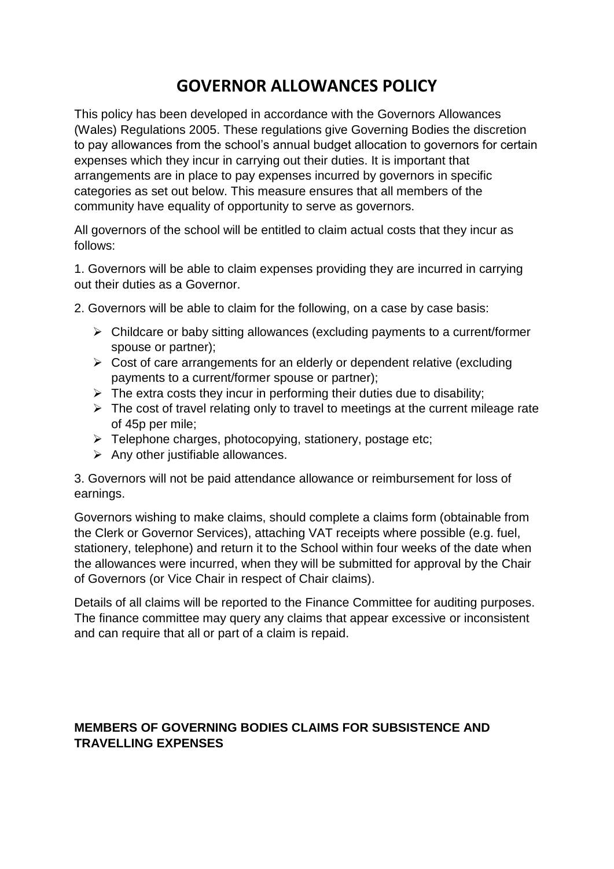## **GOVERNOR ALLOWANCES POLICY**

This policy has been developed in accordance with the Governors Allowances (Wales) Regulations 2005. These regulations give Governing Bodies the discretion to pay allowances from the school's annual budget allocation to governors for certain expenses which they incur in carrying out their duties. It is important that arrangements are in place to pay expenses incurred by governors in specific categories as set out below. This measure ensures that all members of the community have equality of opportunity to serve as governors.

All governors of the school will be entitled to claim actual costs that they incur as follows:

1. Governors will be able to claim expenses providing they are incurred in carrying out their duties as a Governor.

2. Governors will be able to claim for the following, on a case by case basis:

- $\triangleright$  Childcare or baby sitting allowances (excluding payments to a current/former spouse or partner);
- $\triangleright$  Cost of care arrangements for an elderly or dependent relative (excluding payments to a current/former spouse or partner);
- $\triangleright$  The extra costs they incur in performing their duties due to disability;
- $\triangleright$  The cost of travel relating only to travel to meetings at the current mileage rate of 45p per mile;
- $\triangleright$  Telephone charges, photocopying, stationery, postage etc;
- $\triangleright$  Any other justifiable allowances.

3. Governors will not be paid attendance allowance or reimbursement for loss of earnings.

Governors wishing to make claims, should complete a claims form (obtainable from the Clerk or Governor Services), attaching VAT receipts where possible (e.g. fuel, stationery, telephone) and return it to the School within four weeks of the date when the allowances were incurred, when they will be submitted for approval by the Chair of Governors (or Vice Chair in respect of Chair claims).

Details of all claims will be reported to the Finance Committee for auditing purposes. The finance committee may query any claims that appear excessive or inconsistent and can require that all or part of a claim is repaid.

## **MEMBERS OF GOVERNING BODIES CLAIMS FOR SUBSISTENCE AND TRAVELLING EXPENSES**